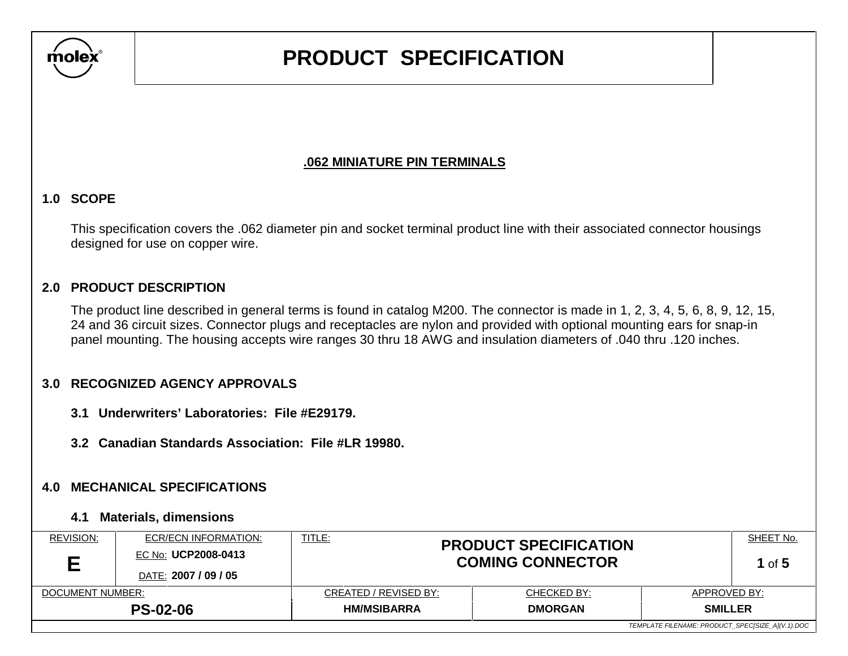

## **.062 MINIATURE PIN TERMINALS**

### **1.0 SCOPE**

 This specification covers the .062 diameter pin and socket terminal product line with their associated connector housings designed for use on copper wire.

### **2.0 PRODUCT DESCRIPTION**

 The product line described in general terms is found in catalog M200. The connector is made in 1, 2, 3, 4, 5, 6, 8, 9, 12, 15, 24 and 36 circuit sizes. Connector plugs and receptacles are nylon and provided with optional mounting ears for snap-in panel mounting. The housing accepts wire ranges 30 thru 18 AWG and insulation diameters of .040 thru .120 inches.

### **3.0 RECOGNIZED AGENCY APPROVALS**

- **3.1 Underwriters' Laboratories: File #E29179.**
- **3.2 Canadian Standards Association: File #LR 19980.**

#### **4.0 MECHANICAL SPECIFICATIONS**

#### **4.1 Materials, dimensions**

| REVISION:        | ECR/ECN INFORMATION:<br>EC No: UCP2008-0413<br>DATE: 2007 / 09 / 05 | TITLE:<br><b>PRODUCT SPECIFICATION</b><br><b>COMING CONNECTOR</b> |                | SHEET No.<br>1 of $5$                            |  |
|------------------|---------------------------------------------------------------------|-------------------------------------------------------------------|----------------|--------------------------------------------------|--|
| DOCUMENT NUMBER: |                                                                     | CREATED / REVISED BY:                                             | CHECKED BY:    | APPROVED BY:                                     |  |
|                  | <b>PS-02-06</b>                                                     | <b>HM/MSIBARRA</b>                                                | <b>DMORGAN</b> | <b>SMILLER</b>                                   |  |
|                  |                                                                     |                                                                   |                | TEMPLATE FILENAME: PRODUCT_SPEC[SIZE_A](V.1).DOC |  |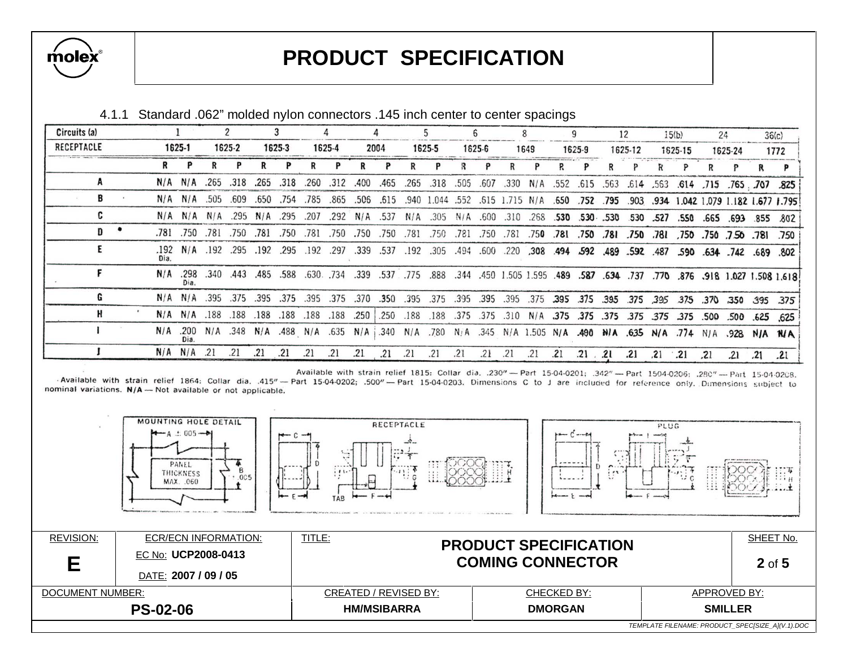

| Circuits (a) |  |      |                    |                   |                              |                   |        |                |        |      |            |      |                                                                                                            |      |           |      |                                        |     |                     | 12      |              | 15(b)        |     | 24                  |     | 36(c)                                  |
|--------------|--|------|--------------------|-------------------|------------------------------|-------------------|--------|----------------|--------|------|------------|------|------------------------------------------------------------------------------------------------------------|------|-----------|------|----------------------------------------|-----|---------------------|---------|--------------|--------------|-----|---------------------|-----|----------------------------------------|
| RECEPTACLE   |  |      | 1625-1             |                   | 1625-2                       |                   | 1625-3 |                | 1625-4 |      | 2004       |      | 1625-5                                                                                                     |      | 1625-6    |      | 1649                                   |     | 1625-9              | 1625-12 |              | 1625-15      |     | 1625-24             |     | 1772                                   |
|              |  |      |                    |                   |                              |                   |        |                |        |      |            |      |                                                                                                            |      |           |      |                                        |     |                     |         |              |              |     |                     |     |                                        |
|              |  |      | N/A N/A            |                   | .265.318                     | .265              | .318   | .260           | .312   | .400 | .465       | .265 | .318                                                                                                       | .505 | .607      |      | .330 N/A .552 .615 .563                |     |                     |         |              |              |     |                     |     | .614 .563 .614 .715 .765 .707 .825     |
| B            |  |      |                    | $N/A$ $N/A$ .505  | .609                         | .650              | .754   | .785           | .865   | .506 | .615       |      | .940 1.044 .552 .615 1.715 N/A .650 .752 .795                                                              |      |           |      |                                        |     |                     |         |              |              |     |                     |     | 903 .934 1.042 1.079 1.182 1.677 1.795 |
|              |  |      |                    | $N/A$ $N/A$ $N/A$ |                              | $.295$ N/A $.295$ |        | .207           | .292   |      | $N/A$ .537 |      | N/A .305 N/A .600 .310 .268 .530 .530 .530                                                                 |      |           |      |                                        |     |                     |         | .530 .527    | .550         |     | .665 .693 .855      |     | .802                                   |
| n            |  |      | .781 .750          | .781              | .750                         | .781              | .750   | .781           | .750   | .750 | .750       | .781 | .750                                                                                                       | .781 |           |      | 750 .781 .750 .750 .750 .751 .750 .751 |     |                     |         |              |              |     | .750 .750 .750 .781 |     | .750                                   |
|              |  | Dia. |                    |                   | .192 N/A .192 .295 .192 .295 |                   |        | .192.297       |        | .339 | .537       |      | .192 .305                                                                                                  |      |           |      | 489 .592 .494 .592 .489 .592 .489 .597 |     |                     |         |              | .590         |     | .634.742            |     | .689 .802                              |
|              |  | N/A  | .298<br>Dia.       |                   | .340.443                     | .485              | .588   | $.630.$ $.734$ |        |      |            |      | 1.618 1.627 1.508 1.618 1.618 770 770 787. 787. 889. 1.595 1.595 1.595. 489. 757. 757. 757. 339. 775. 339. |      |           |      |                                        |     |                     |         |              |              |     |                     |     |                                        |
|              |  |      | $N/A$ $N/A$        | .395              | .375                         | .395              | .375   | .395           | .375   | .370 | .350       | .395 | .375                                                                                                       |      | .395 .395 | .395 |                                        |     | .375 .395 .375 .395 |         |              | .375 395 375 |     | .370 .350 395       |     | 375 i                                  |
|              |  |      | $N/A$ $N/A$        | .188              | .188                         | .188              | .188   | .188           | .188   | .250 | .250       | .188 | .188                                                                                                       |      |           |      |                                        |     |                     |         |              |              |     |                     |     |                                        |
|              |  |      | $N/A$ .200<br>Dia. |                   |                              |                   |        |                |        |      |            |      | N/A .348 N/A .488 N/A .635 N/A .349 N/A .780 N/A .345 N/A 1.505 N/A 490 N/A .635 N/A A774 N/A .488 N/A AVA |      |           |      |                                        |     |                     |         |              |              |     |                     |     |                                        |
|              |  |      | $N/A$ $N/A$        | .21               |                              | .21               | .21    | .21            | .21    | .21  | .21        | .21  | .21                                                                                                        | .21  | .21       | .21  | .21                                    | .21 | $.21-.21$           | .21     | $.21 \t .21$ |              | .21 | $-21$               | .21 | 21                                     |

4.1.1 Standard .062" molded nylon connectors .145 inch center to center spacings

Available with strain relief 1815: Collar dia. .230"- Part 15-04-0201; .342"- Part 1504-0206; .280"- Part 15-04-0208. -Available with strain relief 1864: Collar dia. .415" - Part 15-04-0202; .500" - Part 15-04-0203. Dimensions C to J are included for reference only. Dimensions subject to nominal variations. N/A - Not available or not applicable.

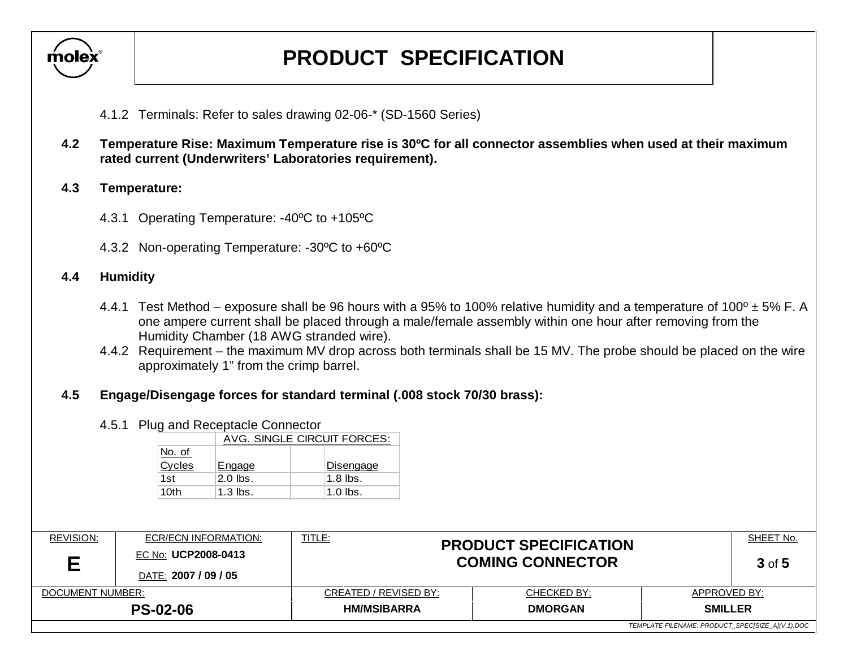

- 4.1.2 Terminals: Refer to sales drawing 02-06-\* (SD-1560 Series)
- **4.2 Temperature Rise: Maximum Temperature rise is 30ºC for all connector assemblies when used at their maximum rated current (Underwriters' Laboratories requirement).**

### **4.3 Temperature:**

- 4.3.1 Operating Temperature: -40ºC to +105ºC
- 4.3.2 Non-operating Temperature: -30ºC to +60ºC

### **4.4 Humidity**

- 4.4.1 Test Method exposure shall be 96 hours with a 95% to 100% relative humidity and a temperature of 100<sup>°</sup>  $\pm$  5% F. A one ampere current shall be placed through a male/female assembly within one hour after removing from the Humidity Chamber (18 AWG stranded wire).
- 4.4.2 Requirement the maximum MV drop across both terminals shall be 15 MV. The probe should be placed on the wire approximately 1" from the crimp barrel.

### **4.5 Engage/Disengage forces for standard terminal (.008 stock 70/30 brass):**

#### 4.5.1 Plug and Receptacle Connector

|        |            | AVG. SINGLE CIRCUIT FORCES: |  |  |  |  |  |  |  |  |  |
|--------|------------|-----------------------------|--|--|--|--|--|--|--|--|--|
| No. of |            |                             |  |  |  |  |  |  |  |  |  |
| Cycles | Engage     | Disengage                   |  |  |  |  |  |  |  |  |  |
| 1st    | $2.0$ lbs. | $1.8$ lbs.                  |  |  |  |  |  |  |  |  |  |
| 10th   | $1.3$ lbs. | $1.0$ lbs.                  |  |  |  |  |  |  |  |  |  |

| REVISION:        | ECR/ECN INFORMATION:<br><b>EC No: UCP2008-0413</b><br>DATE: 2007 / 09 / 05 | <b>TITLE:</b><br><b>PRODUCT SPECIFICATION</b><br><b>COMING CONNECTOR</b> | SHEET No.<br>$3$ of $5$       |                                                  |  |
|------------------|----------------------------------------------------------------------------|--------------------------------------------------------------------------|-------------------------------|--------------------------------------------------|--|
| DOCUMENT NUMBER: | <b>PS-02-06</b>                                                            | CREATED / REVISED BY:<br><b>HM/MSIBARRA</b>                              | CHECKED BY:<br><b>DMORGAN</b> | APPROVED BY:<br><b>SMILLER</b>                   |  |
|                  |                                                                            |                                                                          |                               | TEMPLATE FILENAME: PRODUCT SPECISIZE AI(V.1).DOC |  |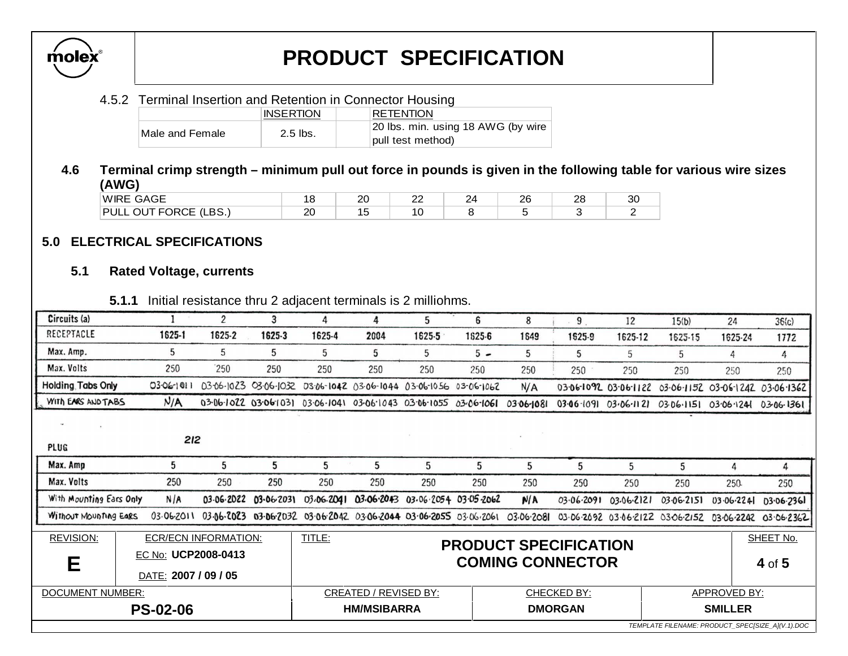

#### 4.5.2 Terminal Insertion and Retention in Connector Housing

|                 | <b>INSERTION</b> | RETENTION                          |
|-----------------|------------------|------------------------------------|
| Male and Female | $2.5$ lbs.       | 20 lbs. min. using 18 AWG (by wire |
|                 |                  | pull test method)                  |

### **4.6 Terminal crimp strength – minimum pull out force in pounds is given in the following table for various wire sizes (AWG)**

| <b>WIRE GAGE</b><br>_____              | u        | ററ<br>$\sim$ | nr<br>-- | $2^{\prime}$ | ገር<br>$\sim$ | റ<br>$\sim$ | n r<br>υu |
|----------------------------------------|----------|--------------|----------|--------------|--------------|-------------|-----------|
| <b>OUT FORCE (LBS.)</b><br><b>PULL</b> | חר<br>-- |              | יי       |              |              |             |           |

## **5.0 ELECTRICAL SPECIFICATIONS**

#### **5.1 Rated Voltage, currents**

 **5.1.1** Initial resistance thru 2 adjacent terminals is 2 milliohms.

| Circuits (a)                                     |  |                      |                             | 3          |                                                                              |                              |                                  |        |            |                                                         |                                                        |                                  |              |                                                        |
|--------------------------------------------------|--|----------------------|-----------------------------|------------|------------------------------------------------------------------------------|------------------------------|----------------------------------|--------|------------|---------------------------------------------------------|--------------------------------------------------------|----------------------------------|--------------|--------------------------------------------------------|
|                                                  |  |                      | $\overline{c}$              |            | 4                                                                            | 4                            | 5                                | 6      | 8          | 9                                                       | 12                                                     | 15(b)                            | 24           | 36(c)                                                  |
| RECEPTACLE                                       |  | 1625-1               | 1625-2                      | 1625-3     | 1625-4                                                                       | 2004                         | 1625-5                           | 1625-6 | 1649       | 1525-9                                                  | 1625-12                                                | 1625-15                          | 1625-24      | 1772                                                   |
| Max. Amp.                                        |  | 5                    | 5                           | 5          | 5                                                                            | 5                            | 5                                | $5 -$  | 5          | 5                                                       | 5                                                      | 5                                | 4            | 4                                                      |
| Max. Volts                                       |  | 250                  | 250                         | 250        | 250                                                                          | 250                          | 250                              | 250    | 250        | 250                                                     | 250                                                    | 250                              | 250          | 250                                                    |
| <b>Holding Tabs Only</b>                         |  | 03-06-1011           |                             |            | 03-06-1023 03-06-1032 03-06-1042 03-06-1044 03-06-1056 03-06-1062            |                              |                                  |        | N/A        |                                                         | 03-06-1092 03-06-1122 03-06-1152 03-06-1242 03-06-1362 |                                  |              |                                                        |
| WITH EARS AND TABS                               |  | N/A                  |                             |            | 03-06-1022 03-06-1031 03-06-1041 03-06-1043 03-06-1055 03-06-1061            |                              |                                  |        | 03.06-1081 |                                                         | $03.06 - 109103.06 - 1121$                             | 03.06.1151 03.06.1241 03.06.1361 |              |                                                        |
|                                                  |  |                      |                             |            |                                                                              |                              |                                  |        |            |                                                         |                                                        |                                  |              |                                                        |
| <b>PLUG</b>                                      |  | 212                  |                             |            |                                                                              |                              |                                  |        |            |                                                         |                                                        |                                  |              |                                                        |
| Max. Amp                                         |  | 5                    | 5                           | 5          | 5                                                                            | 5                            | 5                                | 5      | 5          | 5                                                       | 5                                                      | 5                                | 4            | 4                                                      |
| Max. Volts                                       |  | 250                  | 250                         | 250        | 250                                                                          | 250                          | 250                              | 250    | 250        | 250                                                     | 250                                                    | 250                              | 250          | 250                                                    |
| With Mounting Ears Only                          |  | N/A                  | 03.06.2022                  | 03.06.2031 | 03/06/2041                                                                   |                              | 03.06.2043 03.06.2054 03.05.2062 |        | N/A        | 03.06.2091                                              | 03.06.2121                                             | 03.06.2151                       | 03.06.224    | D3.06.2361                                             |
| Without Mounting EARS                            |  | 03.06.2011           |                             |            | 03.06.2023 03.06.2032 03.06.2042 03.06.2044 03.06.2055 03.06.2061 03.06.2081 |                              |                                  |        |            |                                                         |                                                        |                                  |              | 03.06.2092 03.06.2122 03.06.2152 03.06.2242 03.06.2362 |
| <b>REVISION:</b>                                 |  |                      | <b>ECR/ECN INFORMATION:</b> |            | TITLE:                                                                       |                              |                                  |        |            |                                                         |                                                        |                                  |              | SHEET No.                                              |
| EC No: UCP2008-0413<br>Е                         |  |                      |                             |            |                                                                              |                              |                                  |        |            | <b>PRODUCT SPECIFICATION</b><br><b>COMING CONNECTOR</b> |                                                        |                                  |              | 4 of 5                                                 |
|                                                  |  | DATE: 2007 / 09 / 05 |                             |            |                                                                              |                              |                                  |        |            |                                                         |                                                        |                                  |              |                                                        |
| <b>DOCUMENT NUMBER:</b>                          |  |                      |                             |            |                                                                              | <b>CREATED / REVISED BY:</b> |                                  |        |            | <b>CHECKED BY:</b>                                      |                                                        |                                  | APPROVED BY: |                                                        |
| <b>PS-02-06</b>                                  |  |                      |                             |            | <b>HM/MSIBARRA</b><br><b>DMORGAN</b><br><b>SMILLER</b>                       |                              |                                  |        |            |                                                         |                                                        |                                  |              |                                                        |
| TEMPLATE FILENAME: PRODUCT_SPEC[SIZE_A](V.1).DOC |  |                      |                             |            |                                                                              |                              |                                  |        |            |                                                         |                                                        |                                  |              |                                                        |